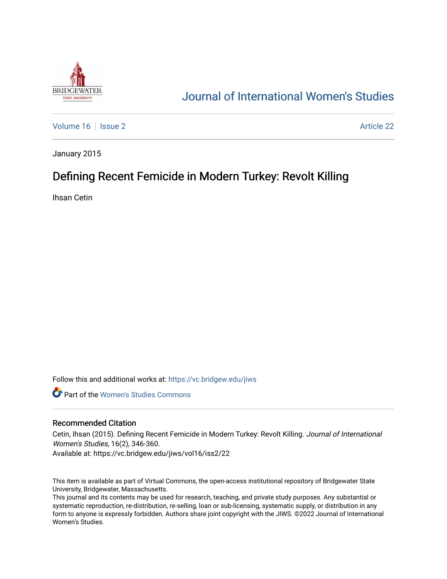

# [Journal of International Women's Studies](https://vc.bridgew.edu/jiws)

[Volume 16](https://vc.bridgew.edu/jiws/vol16) September 2 Article 22

January 2015

# Defining Recent Femicide in Modern Turkey: Revolt Killing

Ihsan Cetin

Follow this and additional works at: [https://vc.bridgew.edu/jiws](https://vc.bridgew.edu/jiws?utm_source=vc.bridgew.edu%2Fjiws%2Fvol16%2Fiss2%2F22&utm_medium=PDF&utm_campaign=PDFCoverPages)

**C** Part of the Women's Studies Commons

#### Recommended Citation

Cetin, Ihsan (2015). Defining Recent Femicide in Modern Turkey: Revolt Killing. Journal of International Women's Studies, 16(2), 346-360.

Available at: https://vc.bridgew.edu/jiws/vol16/iss2/22

This item is available as part of Virtual Commons, the open-access institutional repository of Bridgewater State University, Bridgewater, Massachusetts.

This journal and its contents may be used for research, teaching, and private study purposes. Any substantial or systematic reproduction, re-distribution, re-selling, loan or sub-licensing, systematic supply, or distribution in any form to anyone is expressly forbidden. Authors share joint copyright with the JIWS. ©2022 Journal of International Women's Studies.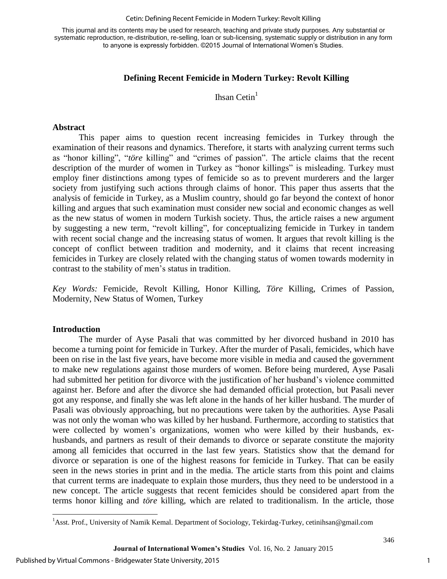#### Cetin: Defining Recent Femicide in Modern Turkey: Revolt Killing

This journal and its contents may be used for research, teaching and private study purposes. Any substantial or systematic reproduction, re-distribution, re-selling, loan or sub-licensing, systematic supply or distribution in any form to anyone is expressly forbidden. ©2015 Journal of International Women's Studies.

### **Defining Recent Femicide in Modern Turkey: Revolt Killing**

Ihsan Cetin $<sup>1</sup>$ </sup>

#### **Abstract**

This paper aims to question recent increasing femicides in Turkey through the examination of their reasons and dynamics. Therefore, it starts with analyzing current terms such as "honor killing", "*töre* killing" and "crimes of passion". The article claims that the recent description of the murder of women in Turkey as "honor killings" is misleading. Turkey must employ finer distinctions among types of femicide so as to prevent murderers and the larger society from justifying such actions through claims of honor. This paper thus asserts that the analysis of femicide in Turkey, as a Muslim country, should go far beyond the context of honor killing and argues that such examination must consider new social and economic changes as well as the new status of women in modern Turkish society. Thus, the article raises a new argument by suggesting a new term, "revolt killing", for conceptualizing femicide in Turkey in tandem with recent social change and the increasing status of women. It argues that revolt killing is the concept of conflict between tradition and modernity, and it claims that recent increasing femicides in Turkey are closely related with the changing status of women towards modernity in contrast to the stability of men's status in tradition.

*Key Words:* Femicide, Revolt Killing, Honor Killing, *Töre* Killing, Crimes of Passion, Modernity, New Status of Women, Turkey

#### **Introduction**

 $\overline{\phantom{a}}$ 

The murder of Ayse Pasali that was committed by her divorced husband in 2010 has become a turning point for femicide in Turkey. After the murder of Pasali, femicides, which have been on rise in the last five years, have become more visible in media and caused the government to make new regulations against those murders of women. Before being murdered, Ayse Pasali had submitted her petition for divorce with the justification of her husband's violence committed against her. Before and after the divorce she had demanded official protection, but Pasali never got any response, and finally she was left alone in the hands of her killer husband. The murder of Pasali was obviously approaching, but no precautions were taken by the authorities. Ayse Pasali was not only the woman who was killed by her husband. Furthermore, according to statistics that were collected by women's organizations, women who were killed by their husbands, exhusbands, and partners as result of their demands to divorce or separate constitute the majority among all femicides that occurred in the last few years. Statistics show that the demand for divorce or separation is one of the highest reasons for femicide in Turkey. That can be easily seen in the news stories in print and in the media. The article starts from this point and claims that current terms are inadequate to explain those murders, thus they need to be understood in a new concept. The article suggests that recent femicides should be considered apart from the terms honor killing and *töre* killing, which are related to traditionalism. In the article, those

<sup>&</sup>lt;sup>1</sup>Asst. Prof., University of Namik Kemal. Department of Sociology, Tekirdag-Turkey, cetinihsan@gmail.com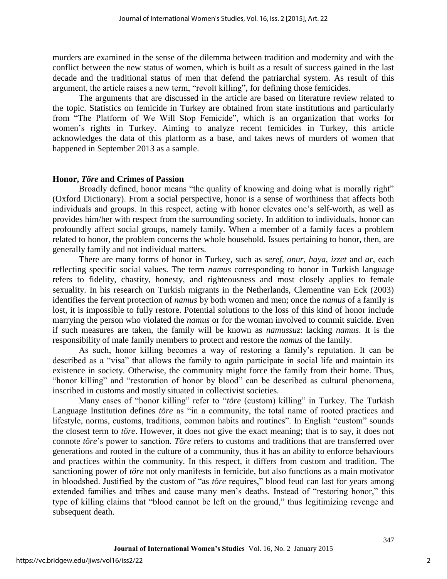murders are examined in the sense of the dilemma between tradition and modernity and with the conflict between the new status of women, which is built as a result of success gained in the last decade and the traditional status of men that defend the patriarchal system. As result of this argument, the article raises a new term, "revolt killing", for defining those femicides.

The arguments that are discussed in the article are based on literature review related to the topic. Statistics on femicide in Turkey are obtained from state institutions and particularly from "The Platform of We Will Stop Femicide", which is an organization that works for women's rights in Turkey. Aiming to analyze recent femicides in Turkey, this article acknowledges the data of this platform as a base, and takes news of murders of women that happened in September 2013 as a sample.

#### **Honor,** *Töre* **and Crimes of Passion**

Broadly defined, honor means "the quality of knowing and doing what is morally right" (Oxford Dictionary). From a social perspective, honor is a sense of worthiness that affects both individuals and groups. In this respect, acting with honor elevates one's self-worth, as well as provides him/her with respect from the surrounding society. In addition to individuals, honor can profoundly affect social groups, namely family. When a member of a family faces a problem related to honor, the problem concerns the whole household. Issues pertaining to honor, then, are generally family and not individual matters.

There are many forms of honor in Turkey, such as *seref*, *onur*, *haya*, *izzet* and *ar*, each reflecting specific social values. The term *namus* corresponding to honor in Turkish language refers to fidelity, chastity, honesty, and righteousness and most closely applies to female sexuality. In his research on Turkish migrants in the Netherlands, Clementine van Eck (2003) identifies the fervent protection of *namus* by both women and men; once the *namus* of a family is lost, it is impossible to fully restore. Potential solutions to the loss of this kind of honor include marrying the person who violated the *namus* or for the woman involved to commit suicide. Even if such measures are taken, the family will be known as *namussuz*: lacking *namus*. It is the responsibility of male family members to protect and restore the *namus* of the family.

As such, honor killing becomes a way of restoring a family's reputation. It can be described as a "visa" that allows the family to again participate in social life and maintain its existence in society. Otherwise, the community might force the family from their home. Thus, "honor killing" and "restoration of honor by blood" can be described as cultural phenomena, inscribed in customs and mostly situated in collectivist societies.

Many cases of "honor killing" refer to "*töre* (custom) killing" in Turkey. The Turkish Language Institution defines *töre* as "in a community, the total name of rooted practices and lifestyle, norms, customs, traditions, common habits and routines". In English "custom" sounds the closest term to *töre*. However, it does not give the exact meaning; that is to say, it does not connote *töre*'s power to sanction. *Töre* refers to customs and traditions that are transferred over generations and rooted in the culture of a community, thus it has an ability to enforce behaviours and practices within the community. In this respect, it differs from custom and tradition. The sanctioning power of *töre* not only manifests in femicide, but also functions as a main motivator in bloodshed. Justified by the custom of "as *töre* requires," blood feud can last for years among extended families and tribes and cause many men's deaths. Instead of "restoring honor," this type of killing claims that "blood cannot be left on the ground," thus legitimizing revenge and subsequent death.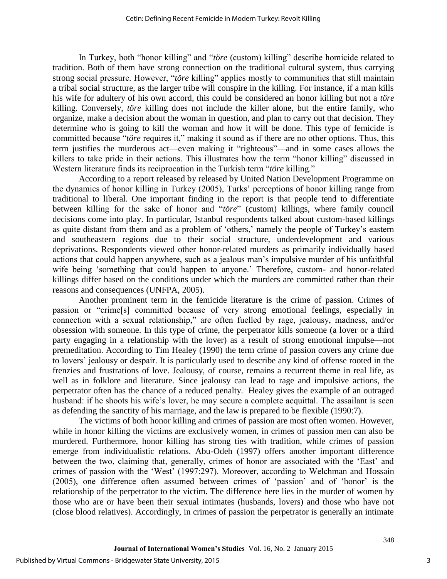In Turkey, both "honor killing" and "*töre* (custom) killing" describe homicide related to tradition. Both of them have strong connection on the traditional cultural system, thus carrying strong social pressure. However, "*töre* killing" applies mostly to communities that still maintain a tribal social structure, as the larger tribe will conspire in the killing. For instance, if a man kills his wife for adultery of his own accord, this could be considered an honor killing but not a *töre* killing. Conversely, *töre* killing does not include the killer alone, but the entire family, who organize, make a decision about the woman in question, and plan to carry out that decision. They determine who is going to kill the woman and how it will be done. This type of femicide is committed because "*töre* requires it," making it sound as if there are no other options. Thus, this term justifies the murderous act—even making it "righteous"—and in some cases allows the killers to take pride in their actions. This illustrates how the term "honor killing" discussed in Western literature finds its reciprocation in the Turkish term "*töre* killing."

According to a report released by released by United Nation Development Programme on the dynamics of honor killing in Turkey (2005), Turks' perceptions of honor killing range from traditional to liberal. One important finding in the report is that people tend to differentiate between killing for the sake of honor and "*töre*" (custom) killings, where family council decisions come into play. In particular, Istanbul respondents talked about custom-based killings as quite distant from them and as a problem of 'others,' namely the people of Turkey's eastern and southeastern regions due to their social structure, underdevelopment and various deprivations. Respondents viewed other honor-related murders as primarily individually based actions that could happen anywhere, such as a jealous man's impulsive murder of his unfaithful wife being 'something that could happen to anyone.' Therefore, custom- and honor-related killings differ based on the conditions under which the murders are committed rather than their reasons and consequences (UNFPA, 2005).

Another prominent term in the femicide literature is the crime of passion. Crimes of passion or "crime[s] committed because of very strong emotional feelings, especially in connection with a sexual relationship," are often fuelled by rage, jealousy, madness, and/or obsession with someone. In this type of crime, the perpetrator kills someone (a lover or a third party engaging in a relationship with the lover) as a result of strong emotional impulse—not premeditation. According to Tim Healey (1990) the term crime of passion covers any crime due to lovers' jealousy or despair. It is particularly used to describe any kind of offense rooted in the frenzies and frustrations of love. Jealousy, of course, remains a recurrent theme in real life, as well as in folklore and literature. Since jealousy can lead to rage and impulsive actions, the perpetrator often has the chance of a reduced penalty. Healey gives the example of an outraged husband: if he shoots his wife's lover, he may secure a complete acquittal. The assailant is seen as defending the sanctity of his marriage, and the law is prepared to be flexible (1990:7).

The victims of both honor killing and crimes of passion are most often women. However, while in honor killing the victims are exclusively women, in crimes of passion men can also be murdered. Furthermore, honor killing has strong ties with tradition, while crimes of passion emerge from individualistic relations. Abu-Odeh (1997) offers another important difference between the two, claiming that, generally, crimes of honor are associated with the 'East' and crimes of passion with the 'West' (1997:297). Moreover, according to Welchman and Hossain (2005), one difference often assumed between crimes of 'passion' and of 'honor' is the relationship of the perpetrator to the victim. The difference here lies in the murder of women by those who are or have been their sexual intimates (husbands, lovers) and those who have not (close blood relatives). Accordingly, in crimes of passion the perpetrator is generally an intimate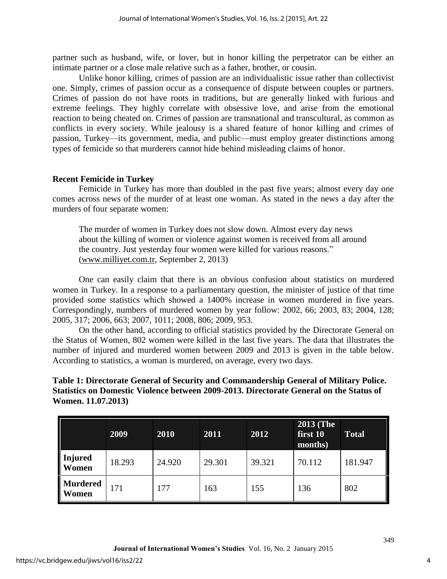partner such as husband, wife, or lover, but in honor killing the perpetrator can be either an intimate partner or a close male relative such as a father, brother, or cousin.

Unlike honor killing, crimes of passion are an individualistic issue rather than collectivist one. Simply, crimes of passion occur as a consequence of dispute between couples or partners. Crimes of passion do not have roots in traditions, but are generally linked with furious and extreme feelings. They highly correlate with obsessive love, and arise from the emotional reaction to being cheated on. Crimes of passion are transnational and transcultural, as common as conflicts in every society. While jealousy is a shared feature of honor killing and crimes of passion, Turkey—its government, media, and public—must employ greater distinctions among types of femicide so that murderers cannot hide behind misleading claims of honor.

# **Recent Femicide in Turkey**

Femicide in Turkey has more than doubled in the past five years; almost every day one comes across news of the murder of at least one woman. As stated in the news a day after the murders of four separate women:

The murder of women in Turkey does not slow down. Almost every day news about the killing of women or violence against women is received from all around the country. Just yesterday four women were killed for various reasons." [\(www.milliyet.com.tr,](http://www.milliyet.com.tr/) September 2, 2013)

One can easily claim that there is an obvious confusion about statistics on murdered women in Turkey. In a response to a parliamentary question, the minister of justice of that time provided some statistics which showed a 1400% increase in women murdered in five years. Correspondingly, numbers of murdered women by year follow: 2002, 66; 2003, 83; 2004, 128; 2005, 317; 2006, 663; 2007, 1011; 2008, 806; 2009, 953.

On the other hand, according to official statistics provided by the Directorate General on the Status of Women, 802 women were killed in the last five years. The data that illustrates the number of injured and murdered women between 2009 and 2013 is given in the table below. According to statistics, a woman is murdered, on average, every two days.

### **Table 1: Directorate General of Security and Commandership General of Military Police. Statistics on Domestic Violence between 2009-2013. Directorate General on the Status of Women. 11.07.2013)**

|                                | 2009   | 2010   | 2011   | 2012   | <b>2013 (The</b><br>first 10<br>months) | <b>Total</b> |
|--------------------------------|--------|--------|--------|--------|-----------------------------------------|--------------|
| <b>Injured</b><br><b>Women</b> | 18.293 | 24.920 | 29.301 | 39.321 | 70.112                                  | 181.947      |
| <b>Murdered</b><br>Women       | 171    | 177    | 163    | 155    | 136                                     | 802          |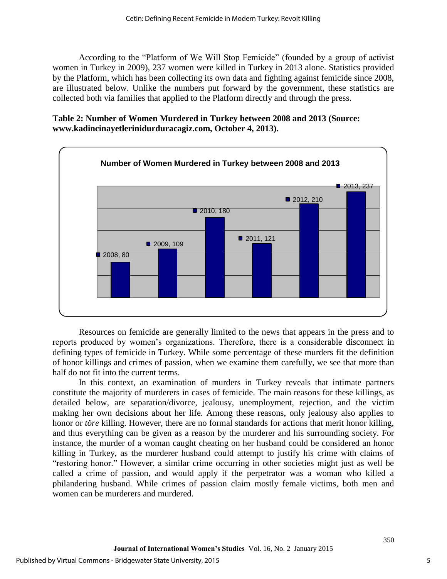According to the "Platform of We Will Stop Femicide" (founded by a group of activist women in Turkey in 2009), 237 women were killed in Turkey in 2013 alone. Statistics provided by the Platform, which has been collecting its own data and fighting against femicide since 2008, are illustrated below. Unlike the numbers put forward by the government, these statistics are collected both via families that applied to the Platform directly and through the press.

# **Table 2: Number of Women Murdered in Turkey between 2008 and 2013 (Source: www.kadincinayetlerinidurduracagiz.com, October 4, 2013).**



Resources on femicide are generally limited to the news that appears in the press and to reports produced by women's organizations. Therefore, there is a considerable disconnect in defining types of femicide in Turkey. While some percentage of these murders fit the definition of honor killings and crimes of passion, when we examine them carefully, we see that more than half do not fit into the current terms.

In this context, an examination of murders in Turkey reveals that intimate partners constitute the majority of murderers in cases of femicide. The main reasons for these killings, as detailed below, are separation/divorce, jealousy, unemployment, rejection, and the victim making her own decisions about her life. Among these reasons, only jealousy also applies to honor or *töre* killing. However, there are no formal standards for actions that merit honor killing, and thus everything can be given as a reason by the murderer and his surrounding society. For instance, the murder of a woman caught cheating on her husband could be considered an honor killing in Turkey, as the murderer husband could attempt to justify his crime with claims of "restoring honor." However, a similar crime occurring in other societies might just as well be called a crime of passion, and would apply if the perpetrator was a woman who killed a philandering husband. While crimes of passion claim mostly female victims, both men and women can be murderers and murdered.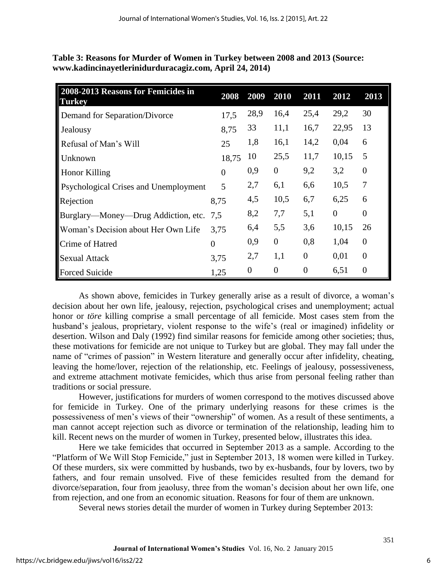| <b>Table 5: Reasons for Murder of Women in Turkey between 2008 and 2015 (Source:</b> |  |
|--------------------------------------------------------------------------------------|--|
| www.kadincinayetlerinidurduracagiz.com, April 24, 2014)                              |  |
|                                                                                      |  |

**Table 3: Reasons for Murder of Women in Turkey between 2008 and 2013 (Source:** 

| 2008-2013 Reasons for Femicides in<br><b>Turkey</b> | 2008     | 2009           | 2010             | 2011           | 2012     | 2013           |
|-----------------------------------------------------|----------|----------------|------------------|----------------|----------|----------------|
| Demand for Separation/Divorce                       | 17,5     | 28,9           | 16,4             | 25,4           | 29,2     | 30             |
| Jealousy                                            | 8,75     | 33             | 11,1             | 16,7           | 22,95    | 13             |
| Refusal of Man's Will                               | 25       | 1,8            | 16,1             | 14,2           | 0,04     | 6              |
| <b>Unknown</b>                                      | 18,75    | 10             | 25,5             | 11,7           | 10,15    | 5              |
| <b>Honor Killing</b>                                | $\theta$ | 0,9            | $\overline{0}$   | 9,2            | 3,2      | $\overline{0}$ |
| <b>Psychological Crises and Unemployment</b>        | 5        | 2,7            | 6,1              | 6,6            | 10,5     | $\overline{7}$ |
| Rejection                                           | 8,75     | 4,5            | 10,5             | 6,7            | 6,25     | 6              |
| Burglary—Money—Drug Addiction, etc. 7,5             |          | 8,2            | 7,7              | 5,1            | $\theta$ | $\Omega$       |
| Woman's Decision about Her Own Life                 | 3,75     | 6,4            | 5,5              | 3,6            | 10,15    | 26             |
| Crime of Hatred                                     | $\theta$ | 0,9            | $\theta$         | 0,8            | 1,04     | $\overline{0}$ |
| <b>Sexual Attack</b>                                | 3,75     | 2,7            | 1,1              | $\overline{0}$ | 0,01     | $\theta$       |
| <b>Forced Suicide</b>                               | 1,25     | $\overline{0}$ | $\boldsymbol{0}$ | $\overline{0}$ | 6,51     | $\theta$       |

As shown above, femicides in Turkey generally arise as a result of divorce, a woman's decision about her own life, jealousy, rejection, psychological crises and unemployment; actual honor or *töre* killing comprise a small percentage of all femicide. Most cases stem from the husband's jealous, proprietary, violent response to the wife's (real or imagined) infidelity or desertion. Wilson and Daly (1992) find similar reasons for femicide among other societies; thus, these motivations for femicide are not unique to Turkey but are global. They may fall under the name of "crimes of passion" in Western literature and generally occur after infidelity, cheating, leaving the home/lover, rejection of the relationship, etc. Feelings of jealousy, possessiveness, and extreme attachment motivate femicides, which thus arise from personal feeling rather than traditions or social pressure.

However, justifications for murders of women correspond to the motives discussed above for femicide in Turkey. One of the primary underlying reasons for these crimes is the possessiveness of men's views of their "ownership" of women. As a result of these sentiments, a man cannot accept rejection such as divorce or termination of the relationship, leading him to kill. Recent news on the murder of women in Turkey, presented below, illustrates this idea.

Here we take femicides that occurred in September 2013 as a sample. According to the "Platform of We Will Stop Femicide," just in September 2013, 18 women were killed in Turkey. Of these murders, six were committed by husbands, two by ex-husbands, four by lovers, two by fathers, and four remain unsolved. Five of these femicides resulted from the demand for divorce/separation, four from jeaolusy, three from the woman's decision about her own life, one from rejection, and one from an economic situation. Reasons for four of them are unknown.

Several news stories detail the murder of women in Turkey during September 2013: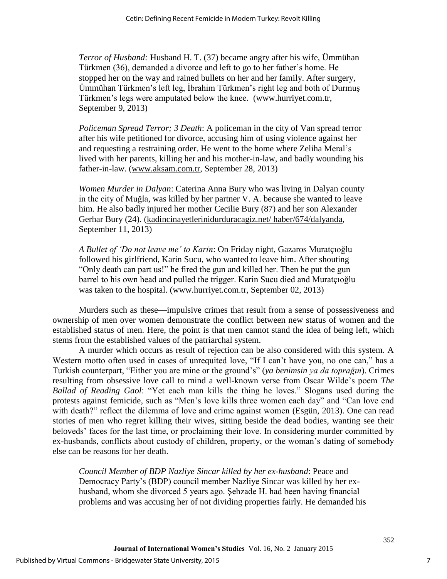*Terror of Husband:* Husband H. T. (37) became angry after his wife, Ümmühan Türkmen (36), demanded a divorce and left to go to her father's home. He stopped her on the way and rained bullets on her and her family. After surgery, Ümmühan Türkmen's left leg, İbrahim Türkmen's right leg and both of Durmuş Türkmen's legs were amputated below the knee. [\(www.hurriyet.com.tr,](http://www.hurriyet.com.tr/) September 9, 2013)

*Policeman Spread Terror; 3 Death*: A policeman in the city of Van spread terror after his wife petitioned for divorce, accusing him of using violence against her and requesting a restraining order. He went to the home where Zeliha Meral's lived with her parents, killing her and his mother-in-law, and badly wounding his father-in-law. [\(www.aksam.com.tr,](http://www.aksam.com.tr/) September 28, 2013)

*Women Murder in Dalyan*: Caterina Anna Bury who was living in Dalyan county in the city of Muğla, was killed by her partner V. A. because she wanted to leave him. He also badly injured her mother Cecilie Bury (87) and her son Alexander Gerhar Bury (24). [\(kadincinayetlerinidurduracagiz.net/ haber/674/dalyanda,](http://kadincinayetlerinidurduracagiz.net/haber/674/dalyanda) September 11, 2013)

*A Bullet of 'Do not leave me' to Karin*: On Friday night, Gazaros Muratçıoğlu followed his girlfriend, Karin Sucu, who wanted to leave him. After shouting "Only death can part us!" he fired the gun and killed her. Then he put the gun barrel to his own head and pulled the trigger. Karin Sucu died and Muratçıoğlu was taken to the hospital. [\(www.hurriyet.com.tr,](http://www.hurriyet.com.tr/) September 02, 2013)

Murders such as these—impulsive crimes that result from a sense of possessiveness and ownership of men over women demonstrate the conflict between new status of women and the established status of men. Here, the point is that men cannot stand the idea of being left, which stems from the established values of the patriarchal system.

A murder which occurs as result of rejection can be also considered with this system. A Western motto often used in cases of unrequited love, "If I can't have you, no one can," has a Turkish counterpart, "Either you are mine or the ground's" (*ya benimsin ya da toprağın*). Crimes resulting from obsessive love call to mind a well-known verse from Oscar Wilde's poem *The Ballad of Reading Gaol*: "Yet each man kills the thing he loves." Slogans used during the protests against femicide, such as "Men's love kills three women each day" and "Can love end with death?" reflect the dilemma of love and crime against women (Esgün, 2013). One can read stories of men who regret killing their wives, sitting beside the dead bodies, wanting see their beloveds' faces for the last time, or proclaiming their love. In considering murder committed by ex-husbands, conflicts about custody of children, property, or the woman's dating of somebody else can be reasons for her death.

*Council Member of BDP Nazliye Sincar killed by her ex-husband*: Peace and Democracy Party's (BDP) council member Nazliye Sincar was killed by her exhusband, whom she divorced 5 years ago. Şehzade H. had been having financial problems and was accusing her of not dividing properties fairly. He demanded his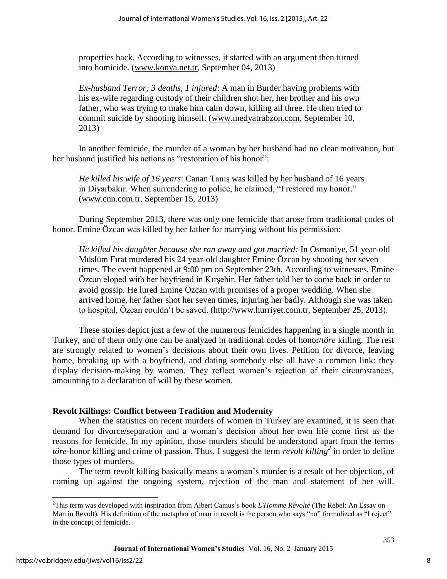properties back. According to witnesses, it started with an argument then turned into homicide. [\(www.konya.net.tr,](http://www.konya.net.tr/) September 04, 2013)

*Ex-husband Terror; 3 deaths, 1 injured*: A man in Burder having problems with his ex-wife regarding custody of their children shot her, her brother and his own father, who was trying to make him calm down, killing all three. He then tried to commit suicide by shooting himself. [\(www.medyatrabzon.com,](http://www.medyatrabzon.com/) September 10, 2013)

In another femicide, the murder of a woman by her husband had no clear motivation, but her husband justified his actions as "restoration of his honor":

*He killed his wife of 16 years*: Canan Tanış was killed by her husband of 16 years in Diyarbakır. When surrendering to police, he claimed, "I restored my honor." [\(www.cnn.com.tr,](http://www.cnn.com.tr/) September 15, 2013)

During September 2013, there was only one femicide that arose from traditional codes of honor. Emine Özcan was killed by her father for marrying without his permission:

*He killed his daughter because she ran away and got married:* In Osmaniye, 51 year-old Müslüm Fırat murdered his 24 year-old daughter Emine Özcan by shooting her seven times. The event happened at 9:00 pm on September 23th. According to witnesses, Emine Özcan eloped with her boyfriend in Kırşehir. Her father told her to come back in order to avoid gossip. He lured Emine Özcan with promises of a proper wedding. When she arrived home, her father shot her seven times, injuring her badly. Although she was taken to hospital, Özcan couldn't be saved. [\(http://www.hurriyet.com.tr,](http://www.hurriyet.com.tr/) September 25, 2013).

These stories depict just a few of the numerous femicides happening in a single month in Turkey, and of them only one can be analyzed in traditional codes of honor/*töre* killing. The rest are strongly related to women's decisions about their own lives. Petition for divorce, leaving home, breaking up with a boyfriend, and dating somebody else all have a common link: they display decision-making by women. They reflect women's rejection of their circumstances, amounting to a declaration of will by these women.

# **Revolt Killings: Conflict between Tradition and Modernity**

When the statistics on recent murders of women in Turkey are examined, it is seen that demand for divorce/separation and a woman's decision about her own life come first as the reasons for femicide. In my opinion, those murders should be understood apart from the terms *töre*-honor killing and crime of passion. Thus, I suggest the term *revolt killing<sup>2</sup>* in order to define those types of murders.

The term revolt killing basically means a woman's murder is a result of her objection, of coming up against the ongoing system, rejection of the man and statement of her will.

l

<sup>2</sup>This term was developed with inspiration from Albert Camus's book *L'Homme Révolté* (The Rebel: An Essay on Man in Revolt). His definition of the metaphor of man in revolt is the person who says "no" formulized as "I reject" in the concept of femicide.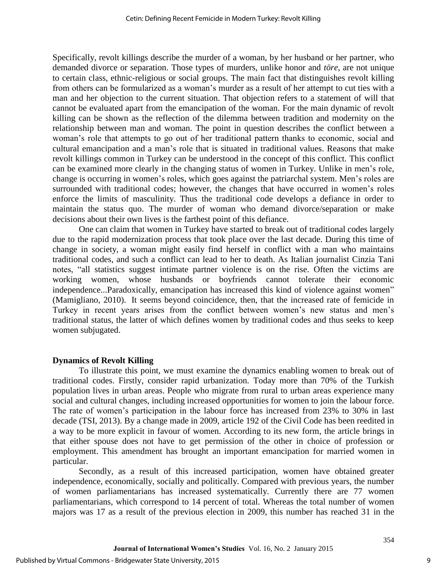Specifically, revolt killings describe the murder of a woman, by her husband or her partner, who demanded divorce or separation. Those types of murders, unlike honor and *töre*, are not unique to certain class, ethnic-religious or social groups. The main fact that distinguishes revolt killing from others can be formularized as a woman's murder as a result of her attempt to cut ties with a man and her objection to the current situation. That objection refers to a statement of will that cannot be evaluated apart from the emancipation of the woman. For the main dynamic of revolt killing can be shown as the reflection of the dilemma between tradition and modernity on the relationship between man and woman. The point in question describes the conflict between a woman's role that attempts to go out of her traditional pattern thanks to economic, social and cultural emancipation and a man's role that is situated in traditional values. Reasons that make revolt killings common in Turkey can be understood in the concept of this conflict. This conflict can be examined more clearly in the changing status of women in Turkey. Unlike in men's role, change is occurring in women's roles, which goes against the patriarchal system. Men's roles are surrounded with traditional codes; however, the changes that have occurred in women's roles enforce the limits of masculinity. Thus the traditional code develops a defiance in order to maintain the status quo. The murder of woman who demand divorce/separation or make decisions about their own lives is the farthest point of this defiance.

One can claim that women in Turkey have started to break out of traditional codes largely due to the rapid modernization process that took place over the last decade. During this time of change in society, a woman might easily find herself in conflict with a man who maintains traditional codes, and such a conflict can lead to her to death. As Italian journalist Cinzia Tani notes, "all statistics suggest intimate partner violence is on the rise. Often the victims are working women, whose husbands or boyfriends cannot tolerate their economic independence...Paradoxically, emancipation has increased this kind of violence against women" (Mamigliano, 2010). It seems beyond coincidence, then, that the increased rate of femicide in Turkey in recent years arises from the conflict between women's new status and men's traditional status, the latter of which defines women by traditional codes and thus seeks to keep women subjugated.

#### **Dynamics of Revolt Killing**

To illustrate this point, we must examine the dynamics enabling women to break out of traditional codes. Firstly, consider rapid urbanization. Today more than 70% of the Turkish population lives in urban areas. People who migrate from rural to urban areas experience many social and cultural changes, including increased opportunities for women to join the labour force. The rate of women's participation in the labour force has increased from 23% to 30% in last decade (TSI, 2013). By a change made in 2009, article 192 of the Civil Code has been reedited in a way to be more explicit in favour of women. According to its new form, the article brings in that either spouse does not have to get permission of the other in choice of profession or employment. This amendment has brought an important emancipation for married women in particular.

Secondly, as a result of this increased participation, women have obtained greater independence, economically, socially and politically. Compared with previous years, the number of women parliamentarians has increased systematically. Currently there are 77 women parliamentarians, which correspond to 14 percent of total. Whereas the total number of women majors was 17 as a result of the previous election in 2009, this number has reached 31 in the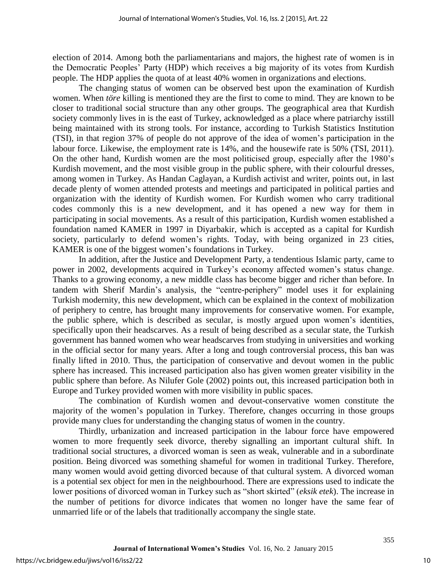election of 2014. Among both the parliamentarians and majors, the highest rate of women is in the Democratic Peoples' Party (HDP) which receives a big majority of its votes from Kurdish people. The HDP applies the quota of at least 40% women in organizations and elections.

The changing status of women can be observed best upon the examination of Kurdish women. When *töre* killing is mentioned they are the first to come to mind. They are known to be closer to traditional social structure than any other groups. The geographical area that Kurdish society commonly lives in is the east of Turkey, acknowledged as a place where patriarchy isstill being maintained with its strong tools. For instance, according to Turkish Statistics Institution (TSI), in that region 37% of people do not approve of the idea of women's participation in the labour force. Likewise, the employment rate is 14%, and the housewife rate is 50% (TSI, 2011). On the other hand, Kurdish women are the most politicised group, especially after the 1980's Kurdish movement, and the most visible group in the public sphere, with their colourful dresses, among women in Turkey. As Handan Caglayan, a Kurdish activist and writer, points out, in last decade plenty of women attended protests and meetings and participated in political parties and organization with the identity of Kurdish women. For Kurdish women who carry traditional codes commonly this is a new development, and it has opened a new way for them in participating in social movements. As a result of this participation, Kurdish women established a foundation named KAMER in 1997 in Diyarbakir, which is accepted as a capital for Kurdish society, particularly to defend women's rights. Today, with being organized in 23 cities, KAMER is one of the biggest women's foundations in Turkey.

In addition, after the Justice and Development Party, a tendentious Islamic party, came to power in 2002, developments acquired in Turkey's economy affected women's status change. Thanks to a growing economy, a new middle class has become bigger and richer than before. In tandem with Sherif Mardin's analysis, the "centre-periphery" model uses it for explaining Turkish modernity, this new development, which can be explained in the context of mobilization of periphery to centre, has brought many improvements for conservative women. For example, the public sphere, which is described as secular, is mostly argued upon women's identities, specifically upon their headscarves. As a result of being described as a secular state, the Turkish government has banned women who wear headscarves from studying in universities and working in the official sector for many years. After a long and tough controversial process, this ban was finally lifted in 2010. Thus, the participation of conservative and devout women in the public sphere has increased. This increased participation also has given women greater visibility in the public sphere than before. As Nilufer Gole (2002) points out, this increased participation both in Europe and Turkey provided women with more visibility in public spaces.

The combination of Kurdish women and devout-conservative women constitute the majority of the women's population in Turkey. Therefore, changes occurring in those groups provide many clues for understanding the changing status of women in the country.

Thirdly, urbanization and increased participation in the labour force have empowered women to more frequently seek divorce, thereby signalling an important cultural shift. In traditional social structures, a divorced woman is seen as weak, vulnerable and in a subordinate position. Being divorced was something shameful for women in traditional Turkey. Therefore, many women would avoid getting divorced because of that cultural system. A divorced woman is a potential sex object for men in the neighbourhood. There are expressions used to indicate the lower positions of divorced woman in Turkey such as "short skirted" (*eksik etek*). The increase in the number of petitions for divorce indicates that women no longer have the same fear of unmarried life or of the labels that traditionally accompany the single state.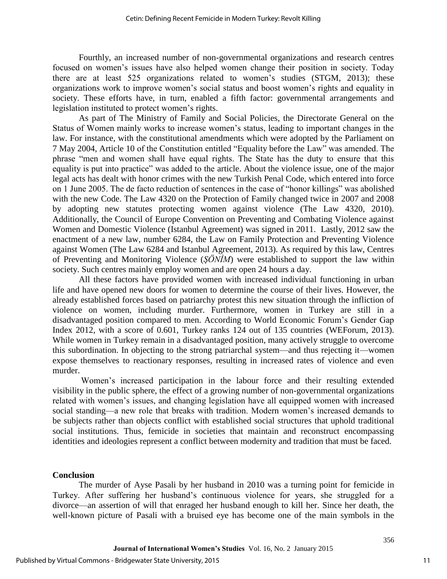Fourthly, an increased number of non-governmental organizations and research centres focused on women's issues have also helped women change their position in society. Today there are at least 525 organizations related to women's studies (STGM, 2013); these organizations work to improve women's social status and boost women's rights and equality in society. These efforts have, in turn, enabled a fifth factor: governmental arrangements and legislation instituted to protect women's rights.

As part of The Ministry of Family and Social Policies, the Directorate General on the Status of Women mainly works to increase women's status, leading to important changes in the law. For instance, with the constitutional amendments which were adopted by the Parliament on 7 May 2004, Article 10 of the Constitution entitled "Equality before the Law" was amended. The phrase "men and women shall have equal rights. The State has the duty to ensure that this equality is put into practice" was added to the article. About the violence issue, one of the major legal acts has dealt with honor crimes with the new Turkish Penal Code, which entered into force on 1 June 2005. The de facto reduction of sentences in the case of "honor killings" was abolished with the new Code. The Law 4320 on the Protection of Family changed twice in 2007 and 2008 by adopting new statutes protecting women against violence (The Law 4320, 2010). Additionally, the Council of Europe Convention on Preventing and Combating Violence against Women and Domestic Violence (Istanbul Agreement) was signed in 2011. Lastly, 2012 saw the enactment of a new law, number 6284, the Law on Family Protection and Preventing Violence against Women (The Law 6284 and Istanbul Agreement, 2013). As required by this law, Centres of Preventing and Monitoring Violence (*ŞÖNİM*) were established to support the law within society. Such centres mainly employ women and are open 24 hours a day.

All these factors have provided women with increased individual functioning in urban life and have opened new doors for women to determine the course of their lives. However, the already established forces based on patriarchy protest this new situation through the infliction of violence on women, including murder. Furthermore, women in Turkey are still in a disadvantaged position compared to men. According to World Economic Forum's Gender Gap Index 2012, with a score of 0.601, Turkey ranks 124 out of 135 countries (WEForum, 2013). While women in Turkey remain in a disadvantaged position, many actively struggle to overcome this subordination. In objecting to the strong patriarchal system—and thus rejecting it—women expose themselves to reactionary responses, resulting in increased rates of violence and even murder.

Women's increased participation in the labour force and their resulting extended visibility in the public sphere, the effect of a growing number of non-governmental organizations related with women's issues, and changing legislation have all equipped women with increased social standing—a new role that breaks with tradition. Modern women's increased demands to be subjects rather than objects conflict with established social structures that uphold traditional social institutions. Thus, femicide in societies that maintain and reconstruct encompassing identities and ideologies represent a conflict between modernity and tradition that must be faced.

#### **Conclusion**

The murder of Ayse Pasali by her husband in 2010 was a turning point for femicide in Turkey. After suffering her husband's continuous violence for years, she struggled for a divorce—an assertion of will that enraged her husband enough to kill her. Since her death, the well-known picture of Pasali with a bruised eye has become one of the main symbols in the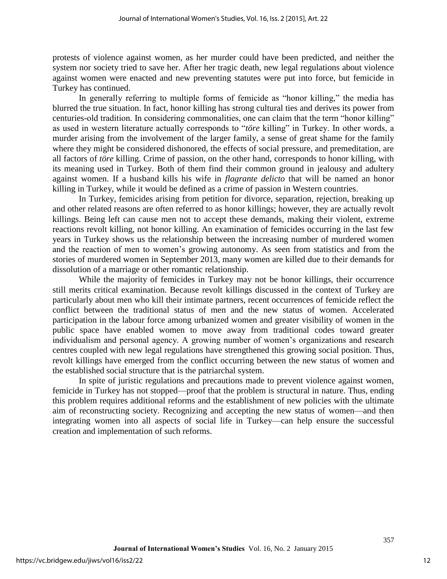protests of violence against women, as her murder could have been predicted, and neither the system nor society tried to save her. After her tragic death, new legal regulations about violence against women were enacted and new preventing statutes were put into force, but femicide in Turkey has continued.

In generally referring to multiple forms of femicide as "honor killing," the media has blurred the true situation. In fact, honor killing has strong cultural ties and derives its power from centuries-old tradition. In considering commonalities, one can claim that the term "honor killing" as used in western literature actually corresponds to "*töre* killing" in Turkey. In other words, a murder arising from the involvement of the larger family, a sense of great shame for the family where they might be considered dishonored, the effects of social pressure, and premeditation, are all factors of *töre* killing. Crime of passion, on the other hand, corresponds to honor killing, with its meaning used in Turkey. Both of them find their common ground in jealousy and adultery against women. If a husband kills his wife in *flagrante delicto* that will be named an honor killing in Turkey, while it would be defined as a crime of passion in Western countries.

In Turkey, femicides arising from petition for divorce, separation, rejection, breaking up and other related reasons are often referred to as honor killings; however, they are actually revolt killings. Being left can cause men not to accept these demands, making their violent, extreme reactions revolt killing, not honor killing. An examination of femicides occurring in the last few years in Turkey shows us the relationship between the increasing number of murdered women and the reaction of men to women's growing autonomy. As seen from statistics and from the stories of murdered women in September 2013, many women are killed due to their demands for dissolution of a marriage or other romantic relationship.

While the majority of femicides in Turkey may not be honor killings, their occurrence still merits critical examination. Because revolt killings discussed in the context of Turkey are particularly about men who kill their intimate partners, recent occurrences of femicide reflect the conflict between the traditional status of men and the new status of women. Accelerated participation in the labour force among urbanized women and greater visibility of women in the public space have enabled women to move away from traditional codes toward greater individualism and personal agency. A growing number of women's organizations and research centres coupled with new legal regulations have strengthened this growing social position. Thus, revolt killings have emerged from the conflict occurring between the new status of women and the established social structure that is the patriarchal system.

In spite of juristic regulations and precautions made to prevent violence against women, femicide in Turkey has not stopped—proof that the problem is structural in nature. Thus, ending this problem requires additional reforms and the establishment of new policies with the ultimate aim of reconstructing society. Recognizing and accepting the new status of women—and then integrating women into all aspects of social life in Turkey—can help ensure the successful creation and implementation of such reforms.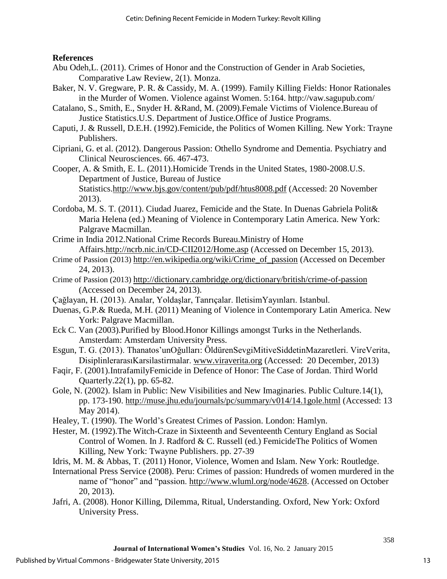# **References**

- Abu Odeh,L. (2011). Crimes of Honor and the Construction of Gender in Arab Societies, Comparative Law Review, 2(1). Monza.
- Baker, N. V. Gregware, P. R. & Cassidy, M. A. (1999). Family Killing Fields: Honor Rationales in the Murder of Women. Violence against Women. 5:164. http://vaw.sagupub.com/
- Catalano, S., Smith, E., Snyder H. &Rand, M. (2009).Female Victims of Violence.Bureau of Justice Statistics.U.S. Department of Justice.Office of Justice Programs.
- Caputi, J. & Russell, D.E.H. (1992).Femicide, the Politics of Women Killing. New York: Trayne Publishers.
- Cipriani, G. et al. (2012). Dangerous Passion: Othello Syndrome and Dementia. Psychiatry and Clinical Neurosciences. 66. 467-473.
- Cooper, A. & Smith, E. L. (2011).Homicide Trends in the United States, 1980-2008.U.S. Department of Justice, Bureau of Justice Statistics[.http://www.bjs.gov/content/pub/pdf/htus8008.pdf](http://www.bjs.gov/content/pub/pdf/htus8008.pdf) (Accessed: 20 November 2013).
- Cordoba, M. S. T. (2011). Ciudad Juarez, Femicide and the State. In Duenas Gabriela Polit& Maria Helena (ed.) Meaning of Violence in Contemporary Latin America. New York: Palgrave Macmillan.
- Crime in India 2012.National Crime Records Bureau.Ministry of Home Affairs[.http://ncrb.nic.in/CD-CII2012/Home.asp](http://ncrb.nic.in/CD-CII2012/Home.asp) (Accessed on December 15, 2013).
- Crime of Passion (2013) [http://en.wikipedia.org/wiki/Crime\\_of\\_passion](http://en.wikipedia.org/wiki/Crime_of_passion) (Accessed on December 24, 2013).
- Crime of Passion (2013) <http://dictionary.cambridge.org/dictionary/british/crime-of-passion> (Accessed on December 24, 2013).
- Çağlayan, H. (2013). Analar, Yoldaşlar, Tanrıçalar. IletisimYayınları. Istanbul.
- Duenas, G.P.& Rueda, M.H. (2011) Meaning of Violence in Contemporary Latin America. New York: Palgrave Macmillan.
- Eck C. Van (2003).Purified by Blood.Honor Killings amongst Turks in the Netherlands. Amsterdam: Amsterdam University Press.
- Esgun, T. G. (2013). Thanatos'unOğulları: ÖldürenSevgiMitiveSiddetinMazaretleri. VireVerita, DisiplinlerarasıKarsilastirmalar. [www.viraverita.org](http://www.viraverita.org/) (Accessed: 20 December, 2013)
- Faqir, F. (2001).IntrafamilyFemicide in Defence of Honor: The Case of Jordan. Third World Quarterly.22(1), pp. 65-82.
- Gole, N. (2002). Islam in Public: New Visibilities and New Imaginaries. Public Culture.14(1), pp. 173-190.<http://muse.jhu.edu/journals/pc/summary/v014/14.1gole.html> (Accessed: 13 May 2014).
- Healey, T. (1990). The World's Greatest Crimes of Passion. London: Hamlyn.
- Hester, M. (1992).The Witch-Craze in Sixteenth and Seventeenth Century England as Social Control of Women. In J. Radford & C. Russell (ed.) FemicideThe Politics of Women Killing, New York: Twayne Publishers. pp. 27-39
- Idris, M. M. & Abbas, T. (2011) Honor, Violence, Women and Islam. New York: Routledge.
- International Press Service (2008). Peru: Crimes of passion: Hundreds of women murdered in the name of "honor" and "passion. [http://www.wluml.org/node/4628.](http://www.wluml.org/node/4628) (Accessed on October 20, 2013).
- Jafri, A. (2008). Honor Killing, Dilemma, Ritual, Understanding. Oxford, New York: Oxford University Press.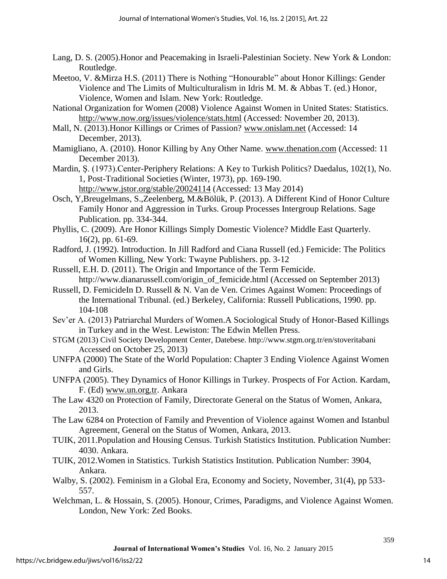- Lang, D. S. (2005).Honor and Peacemaking in Israeli-Palestinian Society. New York & London: Routledge.
- Meetoo, V. &Mirza H.S. (2011) There is Nothing "Honourable" about Honor Killings: Gender Violence and The Limits of Multiculturalism in Idris M. M. & Abbas T. (ed.) Honor, Violence, Women and Islam. New York: Routledge.
- National Organization for Women (2008) Violence Against Women in United States: Statistics. <http://www.now.org/issues/violence/stats.html> (Accessed: November 20, 2013).
- Mall, N. (2013).Honor Killings or Crimes of Passion? [www.onislam.net](http://www.onislam.net/) (Accessed: 14 December, 2013).
- Mamigliano, A. (2010). Honor Killing by Any Other Name. [www.thenation.com](http://www.thenation.com/) (Accessed: 11 December 2013).
- Mardin, Ş. (1973).Center-Periphery Relations: A Key to Turkish Politics? Daedalus, 102(1), No. 1, Post-Traditional Societies (Winter, 1973), pp. 169-190. <http://www.jstor.org/stable/20024114>(Accessed: 13 May 2014)
- Osch, Y,Breugelmans, S.,Zeelenberg, M.&Bölük, P. (2013). A Different Kind of Honor Culture Family Honor and Aggression in Turks. Group Processes Intergroup Relations. Sage Publication. pp. 334-344.
- Phyllis, C. (2009). Are Honor Killings Simply Domestic Violence? Middle East Quarterly. 16(2), pp. 61-69.
- Radford, J. (1992). Introduction. In Jill Radford and Ciana Russell (ed.) Femicide: The Politics of Women Killing, New York: Twayne Publishers. pp. 3-12
- Russell, E.H. D. (2011). The Origin and Importance of the Term Femicide. http://www.dianarussell.com/origin\_of\_femicide.html (Accessed on September 2013)
- Russell, D. FemicideIn D. Russell & N. Van de Ven. Crimes Against Women: Proceedings of the International Tribunal. (ed.) Berkeley, California: Russell Publications, 1990. pp. 104-108
- Sev'er A. (2013) Patriarchal Murders of Women.A Sociological Study of Honor-Based Killings in Turkey and in the West. Lewiston: The Edwin Mellen Press.
- STGM (2013) Civil Society Development Center, Datebese. http://www.stgm.org.tr/en/stoveritabani Accessed on October 25, 2013)
- UNFPA (2000) The State of the World Population: Chapter 3 Ending Violence Against Women and Girls.
- UNFPA (2005). They Dynamics of Honor Killings in Turkey. Prospects of For Action. Kardam, F. (Ed) [www.un.org.tr.](http://www.un.org.tr/) Ankara
- The Law 4320 on Protection of Family, Directorate General on the Status of Women, Ankara, 2013.
- The Law 6284 on Protection of Family and Prevention of Violence against Women and Istanbul Agreement, General on the Status of Women, Ankara, 2013.
- TUIK, 2011.Population and Housing Census. Turkish Statistics Institution. Publication Number: 4030. Ankara.
- TUIK, 2012.Women in Statistics. Turkish Statistics Institution. Publication Number: 3904, Ankara.
- Walby, S. (2002). Feminism in a Global Era, Economy and Society, November, 31(4), pp 533- 557.
- Welchman, L. & Hossain, S. (2005). Honour, Crimes, Paradigms, and Violence Against Women. London, New York: Zed Books.